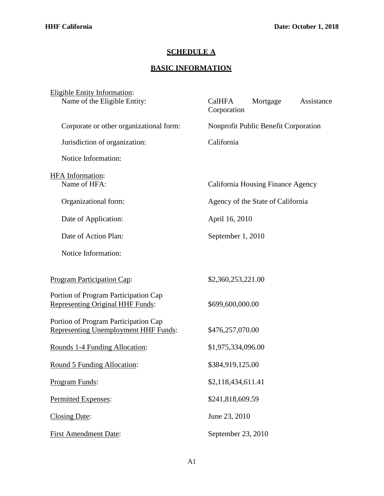## **SCHEDULE A**

## **BASIC INFORMATION**

| <b>Eligible Entity Information:</b><br>Name of the Eligible Entity:                 | Assistance<br>CalHFA<br>Mortgage<br>Corporation |  |
|-------------------------------------------------------------------------------------|-------------------------------------------------|--|
| Corporate or other organizational form:                                             | Nonprofit Public Benefit Corporation            |  |
| Jurisdiction of organization:                                                       | California                                      |  |
| Notice Information:                                                                 |                                                 |  |
| <b>HFA</b> Information:<br>Name of HFA:                                             | California Housing Finance Agency               |  |
| Organizational form:                                                                | Agency of the State of California               |  |
| Date of Application:                                                                | April 16, 2010                                  |  |
| Date of Action Plan:                                                                | September 1, 2010                               |  |
| Notice Information:                                                                 |                                                 |  |
| <b>Program Participation Cap:</b>                                                   | \$2,360,253,221.00                              |  |
| Portion of Program Participation Cap<br><b>Representing Original HHF Funds:</b>     | \$699,600,000.00                                |  |
| Portion of Program Participation Cap<br><b>Representing Unemployment HHF Funds:</b> | \$476,257,070.00                                |  |
| Rounds 1-4 Funding Allocation:                                                      | \$1,975,334,096.00                              |  |
| Round 5 Funding Allocation:                                                         | \$384,919,125.00                                |  |
| Program Funds:                                                                      | \$2,118,434,611.41                              |  |
| Permitted Expenses:                                                                 | \$241,818,609.59                                |  |
| <b>Closing Date:</b>                                                                | June 23, 2010                                   |  |
| <b>First Amendment Date:</b>                                                        | September 23, 2010                              |  |